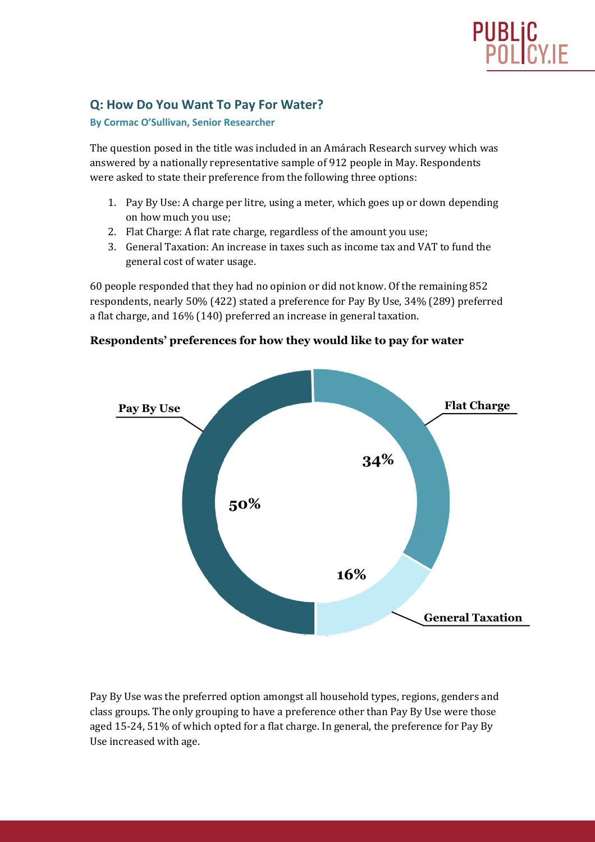

## **Q: How Do You Want To Pay For Water?**

## **By Cormac O'Sullivan, Senior Researcher**

The question posed in the title was included in an Amárach Research survey which was answered by a nationally representative sample of 912 people in May. Respondents were asked to state their preference from the following three options:

- 1. Pay By Use: A charge per litre, using a meter, which goes up or down depending on how much you use;
- 2. Flat Charge: A flat rate charge, regardless of the amount you use;
- 3. General Taxation: An increase in taxes such as income tax and VAT to fund the general cost of water usage.

60 people responded that they had no opinion or did not know. Of the remaining 852 respondents, nearly 50% (422) stated a preference for Pay By Use, 34% (289) preferred a flat charge, and 16% (140) preferred an increase in general taxation.



## **Respondents' preferences for how they would like to pay for water**

Pay By Use was the preferred option amongst all household types, regions, genders and class groups. The only grouping to have a preference other than Pay By Use were those aged 15-24, 51% of which opted for a flat charge. In general, the preference for Pay By Use increased with age.